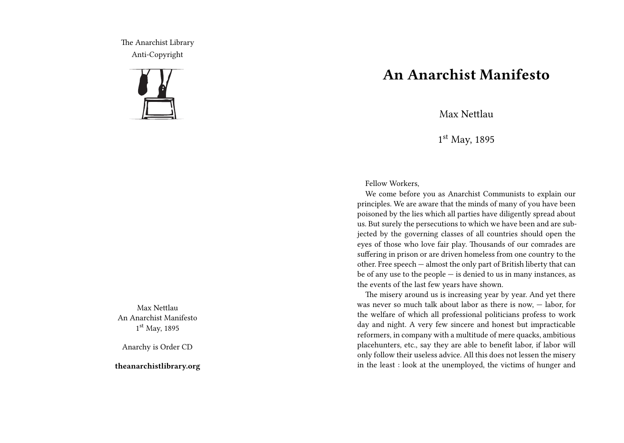The Anarchist Library Anti-Copyright



Max Nettlau An Anarchist Manifesto 1 st May, 1895

Anarchy is Order CD

**theanarchistlibrary.org**

## **An Anarchist Manifesto**

Max Nettlau

1 st May, 1895

Fellow Workers,

We come before you as Anarchist Communists to explain our principles. We are aware that the minds of many of you have been poisoned by the lies which all parties have diligently spread about us. But surely the persecutions to which we have been and are subjected by the governing classes of all countries should open the eyes of those who love fair play. Thousands of our comrades are suffering in prison or are driven homeless from one country to the other. Free speech — almost the only part of British liberty that can be of any use to the people — is denied to us in many instances, as the events of the last few years have shown.

The misery around us is increasing year by year. And yet there was never so much talk about labor as there is now, — labor, for the welfare of which all professional politicians profess to work day and night. A very few sincere and honest but impracticable reformers, in company with a multitude of mere quacks, ambitious placehunters, etc., say they are able to benefit labor, if labor will only follow their useless advice. All this does not lessen the misery in the least : look at the unemployed, the victims of hunger and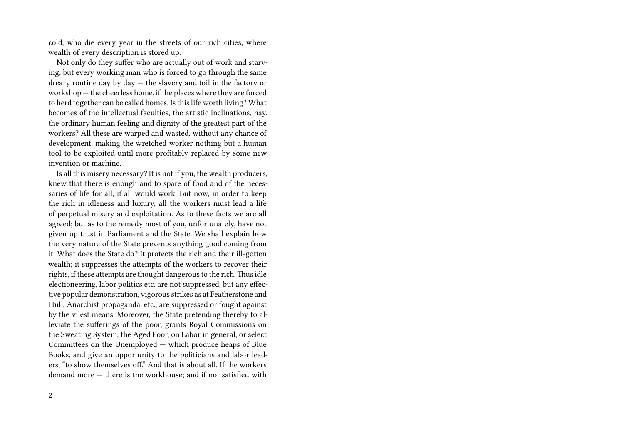cold, who die every year in the streets of our rich cities, where wealth of every description is stored up.

Not only do they suffer who are actually out of work and starving, but every working man who is forced to go through the same dreary routine day by day — the slavery and toil in the factory or workshop — the cheerless home, if the places where they are forced to herd together can be called homes. Is this life worth living? What becomes of the intellectual faculties, the artistic inclinations, nay, the ordinary human feeling and dignity of the greatest part of the workers? All these are warped and wasted, without any chance of development, making the wretched worker nothing but a human tool to be exploited until more profitably replaced by some new invention or machine.

Is all this misery necessary? It is not if you, the wealth producers, knew that there is enough and to spare of food and of the necessaries of life for all, if all would work. But now, in order to keep the rich in idleness and luxury, all the workers must lead a life of perpetual misery and exploitation. As to these facts we are all agreed; but as to the remedy most of you, unfortunately, have not given up trust in Parliament and the State. We shall explain how the very nature of the State prevents anything good coming from it. What does the State do? It protects the rich and their ill-gotten wealth; it suppresses the attempts of the workers to recover their rights, if these attempts are thought dangerous to the rich.Thus idle electioneering, labor politics etc. are not suppressed, but any effective popular demonstration, vigorous strikes as at Featherstone and Hull, Anarchist propaganda, etc., are suppressed or fought against by the vilest means. Moreover, the State pretending thereby to alleviate the sufferings of the poor, grants Royal Commissions on the Sweating System, the Aged Poor, on Labor in general, or select Committees on the Unemployed — which produce heaps of Blue Books, and give an opportunity to the politicians and labor leaders, "to show themselves off." And that is about all. If the workers demand more — there is the workhouse; and if not satisfied with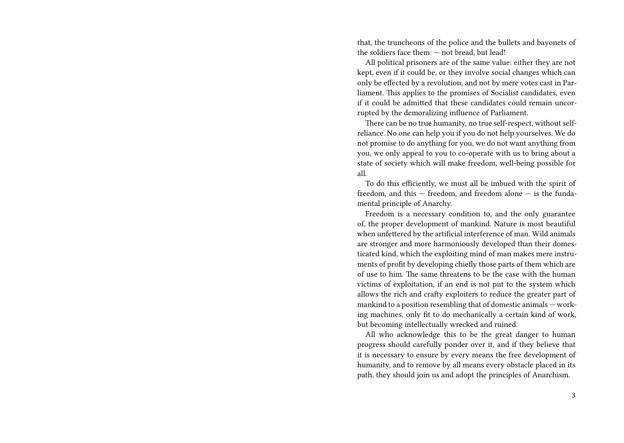that, the truncheons of the police and the bullets and bayonets of the soldiers face them: — not bread, but lead!

All political prisoners are of the same value: either they are not kept, even if it could be, or they involve social changes which can only be effected by a revolution, and not by mere votes cast in Parliament. This applies to the promises of Socialist candidates, even if it could be admitted that these candidates could remain uncorrupted by the demoralizing influence of Parliament.

There can be no true humanity, no true self-respect, without selfreliance. No one can help you if you do not help yourselves. We do not promise to do anything for you, we do not want anything from you, we only appeal to you to co-operate with us to bring about a state of society which will make freedom, well-being possible for all.

To do this efficiently, we must all be imbued with the spirit of freedom, and this — freedom, and freedom alone — is the fundamental principle of Anarchy.

Freedom is a necessary condition to, and the only guarantee of, the proper development of mankind. Nature is most beautiful when unfettered by the artificial interference of man. Wild animals are stronger and more harmoniously developed than their domesticated kind, which the exploiting mind of man makes mere instruments of profit by developing chiefly those parts of them which are of use to him. The same threatens to be the case with the human victims of exploitation, if an end is not put to the system which allows the rich and crafty exploiters to reduce the greater part of mankind to a position resembling that of domestic animals — working machines, only fit to do mechanically a certain kind of work, but becoming intellectually wrecked and ruined.

All who acknowledge this to be the great danger to human progress should carefully ponder over it, and if they believe that it is necessary to ensure by every means the free development of humanity, and to remove by all means every obstacle placed in its path, they should join us and adopt the principles of Anarchism.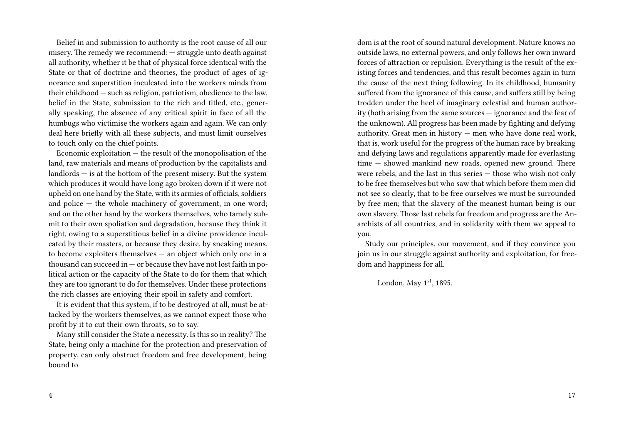Belief in and submission to authority is the root cause of all our misery. The remedy we recommend: — struggle unto death against all authority, whether it be that of physical force identical with the State or that of doctrine and theories, the product of ages of ignorance and superstition inculcated into the workers minds from their childhood — such as religion, patriotism, obedience to the law, belief in the State, submission to the rich and titled, etc., generally speaking, the absence of any critical spirit in face of all the humbugs who victimise the workers again and again. We can only deal here briefly with all these subjects, and must limit ourselves to touch only on the chief points.

Economic exploitation — the result of the monopolisation of the land, raw materials and means of production by the capitalists and landlords — is at the bottom of the present misery. But the system which produces it would have long ago broken down if it were not upheld on one hand by the State, with its armies of officials, soldiers and police  $-$  the whole machinery of government, in one word; and on the other hand by the workers themselves, who tamely submit to their own spoliation and degradation, because they think it right, owing to a superstitious belief in a divine providence inculcated by their masters, or because they desire, by sneaking means, to become exploiters themselves — an object which only one in a thousand can succeed in  $-$  or because they have not lost faith in political action or the capacity of the State to do for them that which they are too ignorant to do for themselves. Under these protections the rich classes are enjoying their spoil in safety and comfort.

It is evident that this system, if to be destroyed at all, must be attacked by the workers themselves, as we cannot expect those who profit by it to cut their own throats, so to say.

Many still consider the State a necessity. Is this so in reality? The State, being only a machine for the protection and preservation of property, can only obstruct freedom and free development, being bound to

dom is at the root of sound natural development. Nature knows no outside laws, no external powers, and only follows her own inward forces of attraction or repulsion. Everything is the result of the existing forces and tendencies, and this result becomes again in turn the cause of the next thing following. In its childhood, humanity suffered from the ignorance of this cause, and suffers still by being trodden under the heel of imaginary celestial and human authority (both arising from the same sources — ignorance and the fear of the unknown). All progress has been made by fighting and defying authority. Great men in history — men who have done real work, that is, work useful for the progress of the human race by breaking and defying laws and regulations apparently made for everlasting time — showed mankind new roads, opened new ground. There were rebels, and the last in this series — those who wish not only to be free themselves but who saw that which before them men did not see so clearly, that to be free ourselves we must be surrounded by free men; that the slavery of the meanest human being is our own slavery. Those last rebels for freedom and progress are the Anarchists of all countries, and in solidarity with them we appeal to you.

Study our principles, our movement, and if they convince you join us in our struggle against authority and exploitation, for freedom and happiness for all.

London, May  $1<sup>st</sup>$ , 1895.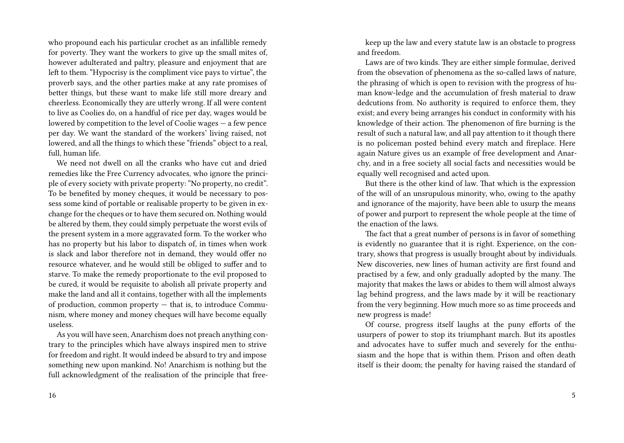who propound each his particular crochet as an infallible remedy for poverty. They want the workers to give up the small mites of, however adulterated and paltry, pleasure and enjoyment that are left to them. "Hypocrisy is the compliment vice pays to virtue", the proverb says, and the other parties make at any rate promises of better things, but these want to make life still more dreary and cheerless. Economically they are utterly wrong. If all were content to live as Coolies do, on a handful of rice per day, wages would be lowered by competition to the level of Coolie wages — a few pence per day. We want the standard of the workers' living raised, not lowered, and all the things to which these "friends" object to a real, full, human life.

We need not dwell on all the cranks who have cut and dried remedies like the Free Currency advocates, who ignore the principle of every society with private property: "No property, no credit". To be benefited by money cheques, it would be necessary to possess some kind of portable or realisable property to be given in exchange for the cheques or to have them secured on. Nothing would be altered by them, they could simply perpetuate the worst evils of the present system in a more aggravated form. To the worker who has no property but his labor to dispatch of, in times when work is slack and labor therefore not in demand, they would offer no resource whatever, and he would still be obliged to suffer and to starve. To make the remedy proportionate to the evil proposed to be cured, it would be requisite to abolish all private property and make the land and all it contains, together with all the implements of production, common property — that is, to introduce Communism, where money and money cheques will have become equally useless.

As you will have seen, Anarchism does not preach anything contrary to the principles which have always inspired men to strive for freedom and right. It would indeed be absurd to try and impose something new upon mankind. No! Anarchism is nothing but the full acknowledgment of the realisation of the principle that free-

keep up the law and every statute law is an obstacle to progress and freedom.

Laws are of two kinds. They are either simple formulae, derived from the obsevation of phenomena as the so-called laws of nature, the phrasing of which is open to revision with the progress of human know-ledge and the accumulation of fresh material to draw dedcutions from. No authority is required to enforce them, they exist; and every being arranges his conduct in conformity with his knowledge of their action. The phenomenon of fire burning is the result of such a natural law, and all pay attention to it though there is no policeman posted behind every match and fireplace. Here again Nature gives us an example of free development and Anarchy, and in a free society all social facts and necessities would be equally well recognised and acted upon.

But there is the other kind of law. That which is the expression of the will of an unsrupulous minority, who, owing to the apathy and ignorance of the majority, have been able to usurp the means of power and purport to represent the whole people at the time of the enaction of the laws.

The fact that a great number of persons is in favor of something is evidently no guarantee that it is right. Experience, on the contrary, shows that progress is usually brought about by individuals. New discoveries, new lines of human activity are first found and practised by a few, and only gradually adopted by the many. The majority that makes the laws or abides to them will almost always lag behind progress, and the laws made by it will be reactionary from the very beginning. How much more so as time proceeds and new progress is made!

Of course, progress itself laughs at the puny efforts of the usurpers of power to stop its triumphant march. But its apostles and advocates have to suffer much and severely for the enthusiasm and the hope that is within them. Prison and often death itself is their doom; the penalty for having raised the standard of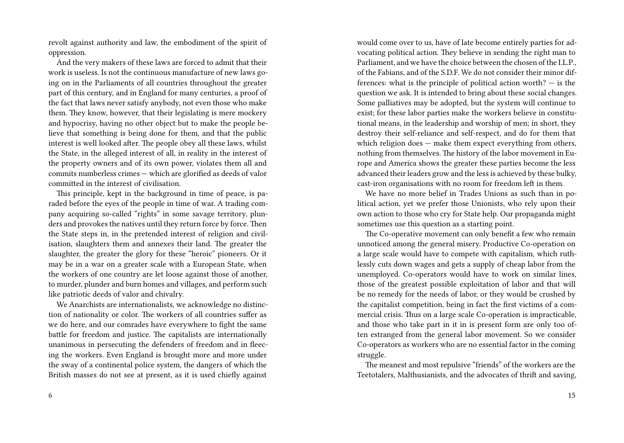revolt against authority and law, the embodiment of the spirit of oppression.

And the very makers of these laws are forced to admit that their work is useless. Is not the continuous manufacture of new laws going on in the Parliaments of all countries throughout the greater part of this century, and in England for many centuries, a proof of the fact that laws never satisfy anybody, not even those who make them. They know, however, that their legislating is mere mockery and hypocrisy, having no other object but to make the people believe that something is being done for them, and that the public interest is well looked after. The people obey all these laws, whilst the State, in the alleged interest of all, in reality in the interest of the property owners and of its own power, violates them all and commits numberless crimes — which are glorified as deeds of valor committed in the interest of civilisation.

This principle, kept in the background in time of peace, is paraded before the eyes of the people in time of war. A trading company acquiring so-called "rights" in some savage territory, plunders and provokes the natives until they return force by force. Then the State steps in, in the pretended interest of religion and civilisation, slaughters them and annexes their land. The greater the slaughter, the greater the glory for these "heroic" pioneers. Or it may be in a war on a greater scale with a European State, when the workers of one country are let loose against those of another, to murder, plunder and burn homes and villages, and perform such like patriotic deeds of valor and chivalry.

We Anarchists are internationalists, we acknowledge no distinction of nationality or color. The workers of all countries suffer as we do here, and our comrades have everywhere to fight the same battle for freedom and justice. The capitalists are internationally unanimous in persecuting the defenders of freedom and in fleecing the workers. Even England is brought more and more under the sway of a continental police system, the dangers of which the British masses do not see at present, as it is used chiefly against would come over to us, have of late become entirely parties for advocating political action. They believe in sending the right man to Parliament, and we have the choice between the chosen of the I.L.P., of the Fabians, and of the S.D.F. We do not consider their minor differences: what is the principle of political action worth? — is the question we ask. It is intended to bring about these social changes. Some palliatives may be adopted, but the system will continue to exist; for these labor parties make the workers believe in constitutional means, in the leadership and worship of men; in short, they destroy their self-reliance and self-respect, and do for them that which religion does — make them expect everything from others, nothing from themselves. The history of the labor movement in Europe and America shows the greater these parties become the less advanced their leaders grow and the less is achieved by these bulky, cast-iron organisations with no room for freedom left in them.

We have no more belief in Trades Unions as such than in political action, yet we prefer those Unionists, who rely upon their own action to those who cry for State help. Our propaganda might sometimes use this question as a starting point.

The Co-operative movement can only benefit a few who remain unnoticed among the general misery. Productive Co-operation on a large scale would have to compete with capitalism, which ruthlessly cuts down wages and gets a supply of cheap labor from the unemployed. Co-operators would have to work on similar lines, those of the greatest possible exploitation of labor and that will be no remedy for the needs of labor, or they would be crushed by the capitalist competition, being in fact the first victims of a commercial crisis. Thus on a large scale Co-operation is impracticable, and those who take part in it in is present form are only too often estranged from the general labor movement. So we consider Co-operators as workers who are no essential factor in the coming struggle.

The meanest and most repulsive "friends" of the workers are the Teetotalers, Malthusianists, and the advocates of thrift and saving,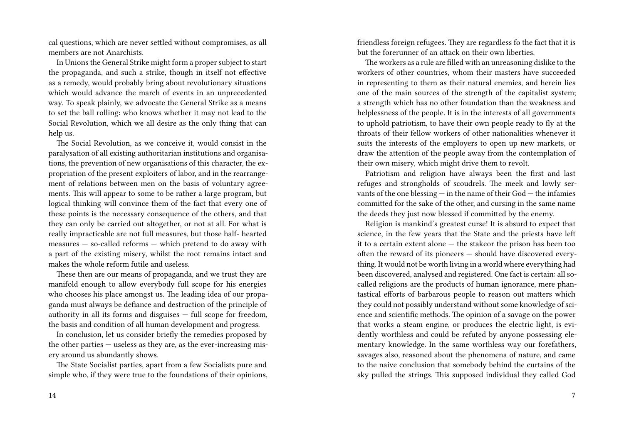cal questions, which are never settled without compromises, as all members are not Anarchists.

In Unions the General Strike might form a proper subject to start the propaganda, and such a strike, though in itself not effective as a remedy, would probably bring about revolutionary situations which would advance the march of events in an unprecedented way. To speak plainly, we advocate the General Strike as a means to set the ball rolling: who knows whether it may not lead to the Social Revolution, which we all desire as the only thing that can help us.

The Social Revolution, as we conceive it, would consist in the paralysation of all existing authoritarian institutions and organisations, the prevention of new organisations of this character, the expropriation of the present exploiters of labor, and in the rearrangement of relations between men on the basis of voluntary agreements. This will appear to some to be rather a large program, but logical thinking will convince them of the fact that every one of these points is the necessary consequence of the others, and that they can only be carried out altogether, or not at all. For what is really impracticable are not full measures, but those half- hearted measures — so-called reforms — which pretend to do away with a part of the existing misery, whilst the root remains intact and makes the whole reform futile and useless.

These then are our means of propaganda, and we trust they are manifold enough to allow everybody full scope for his energies who chooses his place amongst us. The leading idea of our propaganda must always be defiance and destruction of the principle of authority in all its forms and disguises — full scope for freedom, the basis and condition of all human development and progress.

In conclusion, let us consider briefly the remedies proposed by the other parties — useless as they are, as the ever-increasing misery around us abundantly shows.

The State Socialist parties, apart from a few Socialists pure and simple who, if they were true to the foundations of their opinions, friendless foreign refugees. They are regardless fo the fact that it is but the forerunner of an attack on their own liberties.

The workers as a rule are filled with an unreasoning dislike to the workers of other countries, whom their masters have succeeded in representing to them as their natural enemies, and herein lies one of the main sources of the strength of the capitalist system; a strength which has no other foundation than the weakness and helplessness of the people. It is in the interests of all governments to uphold patriotism, to have their own people ready to fly at the throats of their fellow workers of other nationalities whenever it suits the interests of the employers to open up new markets, or draw the attention of the people away from the contemplation of their own misery, which might drive them to revolt.

Patriotism and religion have always been the first and last refuges and strongholds of scoudrels. The meek and lowly servants of the one blessing — in the name of their God — the infamies committed for the sake of the other, and cursing in the same name the deeds they just now blessed if committed by the enemy.

Religion is mankind's greatest curse! It is absurd to expect that science, in the few years that the State and the priests have left it to a certain extent alone — the stakeor the prison has been too often the reward of its pioneers — should have discovered everything. It would not be worth living in a world where everything had been discovered, analysed and registered. One fact is certain: all socalled religions are the products of human ignorance, mere phantastical efforts of barbarous people to reason out matters which they could not possibly understand without some knowledge of science and scientific methods. The opinion of a savage on the power that works a steam engine, or produces the electric light, is evidently worthless and could be refuted by anyone possessing elementary knowledge. In the same worthless way our forefathers, savages also, reasoned about the phenomena of nature, and came to the naive conclusion that somebody behind the curtains of the sky pulled the strings. This supposed individual they called God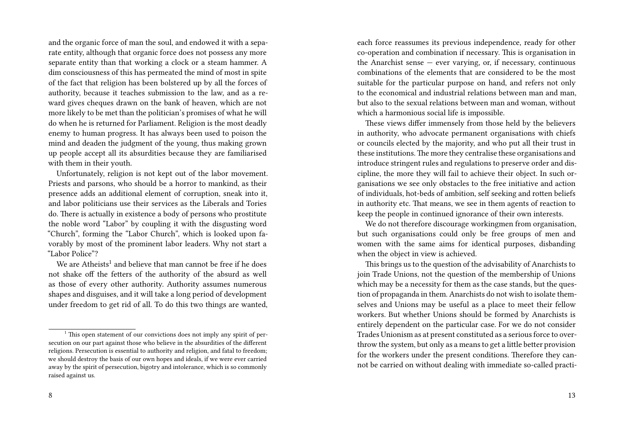and the organic force of man the soul, and endowed it with a separate entity, although that organic force does not possess any more separate entity than that working a clock or a steam hammer. A dim consciousness of this has permeated the mind of most in spite of the fact that religion has been bolstered up by all the forces of authority, because it teaches submission to the law, and as a reward gives cheques drawn on the bank of heaven, which are not more likely to be met than the politician's promises of what he will do when he is returned for Parliament. Religion is the most deadly enemy to human progress. It has always been used to poison the mind and deaden the judgment of the young, thus making grown up people accept all its absurdities because they are familiarised with them in their youth.

Unfortunately, religion is not kept out of the labor movement. Priests and parsons, who should be a horror to mankind, as their presence adds an additional element of corruption, sneak into it, and labor politicians use their services as the Liberals and Tories do. There is actually in existence a body of persons who prostitute the noble word "Labor" by coupling it with the disgusting word "Church", forming the "Labor Church", which is looked upon favorably by most of the prominent labor leaders. Why not start a "Labor Police"?

We are  $\mathrm{Atheists}^{1}$  and believe that man cannot be free if he does not shake off the fetters of the authority of the absurd as well as those of every other authority. Authority assumes numerous shapes and disguises, and it will take a long period of development under freedom to get rid of all. To do this two things are wanted,

each force reassumes its previous independence, ready for other co-operation and combination if necessary. This is organisation in the Anarchist sense  $-$  ever varying, or, if necessary, continuous combinations of the elements that are considered to be the most suitable for the particular purpose on hand, and refers not only to the economical and industrial relations between man and man, but also to the sexual relations between man and woman, without which a harmonious social life is impossible.

These views differ immensely from those held by the believers in authority, who advocate permanent organisations with chiefs or councils elected by the majority, and who put all their trust in these institutions.The more they centralise these organisations and introduce stringent rules and regulations to preserve order and discipline, the more they will fail to achieve their object. In such organisations we see only obstacles to the free initiative and action of individuals, hot-beds of ambition, self seeking and rotten beliefs in authority etc. That means, we see in them agents of reaction to keep the people in continued ignorance of their own interests.

We do not therefore discourage workingmen from organisation, but such organisations could only be free groups of men and women with the same aims for identical purposes, disbanding when the object in view is achieved.

This brings us to the question of the advisability of Anarchists to join Trade Unions, not the question of the membership of Unions which may be a necessity for them as the case stands, but the question of propaganda in them. Anarchists do not wish to isolate themselves and Unions may be useful as a place to meet their fellow workers. But whether Unions should be formed by Anarchists is entirely dependent on the particular case. For we do not consider Trades Unionism as at present constituted as a serious force to overthrow the system, but only as a means to get a little better provision for the workers under the present conditions. Therefore they cannot be carried on without dealing with immediate so-called practi-

 $1$ . This open statement of our convictions does not imply any spirit of persecution on our part against those who believe in the absurdities of the different religions. Persecution is essential to authority and religion, and fatal to freedom; we should destroy the basis of our own hopes and ideals, if we were ever carried away by the spirit of persecution, bigotry and intolerance, which is so commonly raised against us.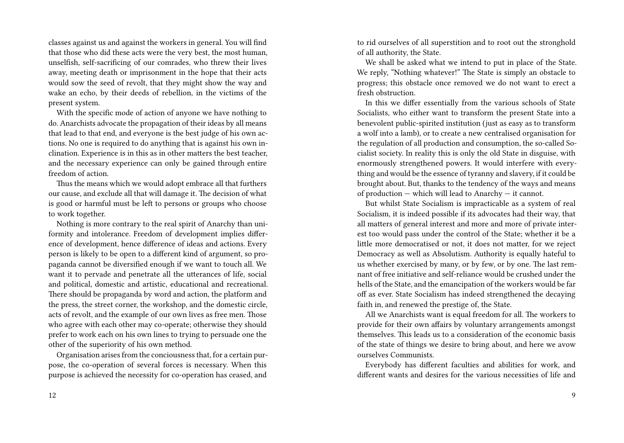classes against us and against the workers in general. You will find that those who did these acts were the very best, the most human, unselfish, self-sacrificing of our comrades, who threw their lives away, meeting death or imprisonment in the hope that their acts would sow the seed of revolt, that they might show the way and wake an echo, by their deeds of rebellion, in the victims of the present system.

With the specific mode of action of anyone we have nothing to do. Anarchists advocate the propagation of their ideas by all means that lead to that end, and everyone is the best judge of his own actions. No one is required to do anything that is against his own inclination. Experience is in this as in other matters the best teacher, and the necessary experience can only be gained through entire freedom of action.

Thus the means which we would adopt embrace all that furthers our cause, and exclude all that will damage it. The decision of what is good or harmful must be left to persons or groups who choose to work together.

Nothing is more contrary to the real spirit of Anarchy than uniformity and intolerance. Freedom of development implies difference of development, hence difference of ideas and actions. Every person is likely to be open to a different kind of argument, so propaganda cannot be diversified enough if we want to touch all. We want it to pervade and penetrate all the utterances of life, social and political, domestic and artistic, educational and recreational. There should be propaganda by word and action, the platform and the press, the street corner, the workshop, and the domestic circle, acts of revolt, and the example of our own lives as free men. Those who agree with each other may co-operate; otherwise they should prefer to work each on his own lines to trying to persuade one the other of the superiority of his own method.

Organisation arises from the conciousness that, for a certain purpose, the co-operation of several forces is necessary. When this purpose is achieved the necessity for co-operation has ceased, and

to rid ourselves of all superstition and to root out the stronghold of all authority, the State.

We shall be asked what we intend to put in place of the State. We reply, "Nothing whatever!" The State is simply an obstacle to progress; this obstacle once removed we do not want to erect a fresh obstruction.

In this we differ essentially from the various schools of State Socialists, who either want to transform the present State into a benevolent public-spirited institution (just as easy as to transform a wolf into a lamb), or to create a new centralised organisation for the regulation of all production and consumption, the so-called Socialist society. In reality this is only the old State in disguise, with enormously strengthened powers. It would interfere with everything and would be the essence of tyranny and slavery, if it could be brought about. But, thanks to the tendency of the ways and means of production — which will lead to Anarchy — it cannot.

But whilst State Socialism is impracticable as a system of real Socialism, it is indeed possible if its advocates had their way, that all matters of general interest and more and more of private interest too would pass under the control of the State; whether it be a little more democratised or not, it does not matter, for we reject Democracy as well as Absolutism. Authority is equally hateful to us whether exercised by many, or by few, or by one. The last remnant of free initiative and self-reliance would be crushed under the hells of the State, and the emancipation of the workers would be far off as ever. State Socialism has indeed strengthened the decaying faith in, and renewed the prestige of, the State.

All we Anarchists want is equal freedom for all. The workers to provide for their own affairs by voluntary arrangements amongst themselves. This leads us to a consideration of the economic basis of the state of things we desire to bring about, and here we avow ourselves Communists.

Everybody has different faculties and abilities for work, and different wants and desires for the various necessities of life and